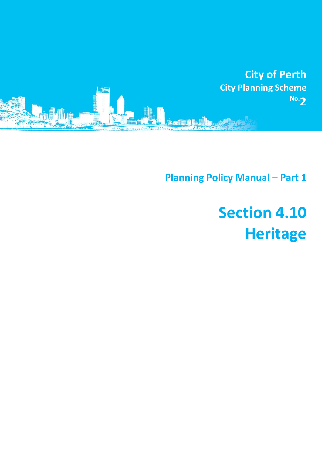

**Planning Policy Manual - Part 1** 

# **Section 4.10 Heritage**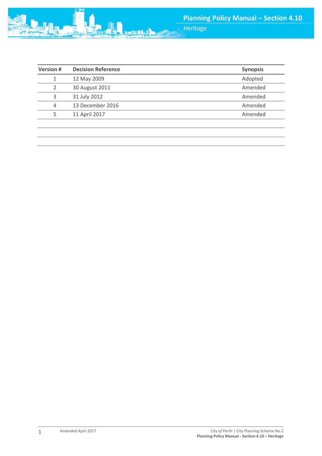

| <b>Version#</b> | <b>Decision Reference</b> | <b>Synopsis</b> |
|-----------------|---------------------------|-----------------|
|                 | 12 May 2009               | Adopted         |
|                 | 30 August 2011            | Amended         |
| 3               | 31 July 2012              | Amended         |
| 4               | 13 December 2016          | Amended         |
| 5               | 11 April 2017             | Amended         |
|                 |                           |                 |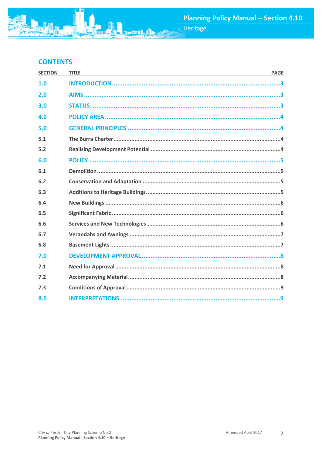# **CONTENTS**

| <b>SECTION</b> | <b>TITLE</b> | <b>PAGE</b> |
|----------------|--------------|-------------|
| 1.0            |              |             |
| 2.0            |              |             |
| 3.0            |              |             |
| 4.0            |              |             |
| 5.0            |              |             |
| 5.1            |              |             |
| 5.2            |              |             |
| 6.0            |              |             |
| 6.1            |              |             |
| 6.2            |              |             |
| 6.3            |              |             |
| 6.4            |              |             |
| 6.5            |              |             |
| 6.6            |              |             |
| 6.7            |              |             |
| 6.8            |              |             |
| 7.0            |              |             |
| 7.1            |              |             |
| 7.2            |              |             |
| 7.3            |              |             |
| 8.0            |              |             |
|                |              |             |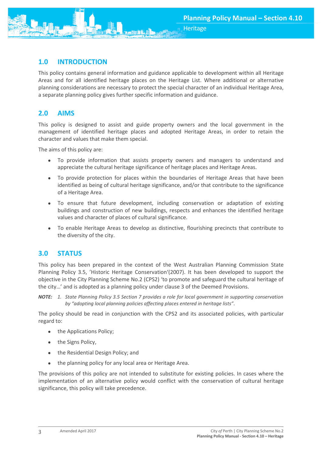

# <span id="page-3-0"></span>**1.0 INTRODUCTION**

This policy contains general information and guidance applicable to development within all Heritage Areas and for all identified heritage places on the Heritage List. Where additional or alternative planning considerations are necessary to protect the special character of an individual Heritage Area, a separate planning policy gives further specific information and guidance.

# <span id="page-3-1"></span>**2.0 AIMS**

This policy is designed to assist and guide property owners and the local government in the management of identified heritage places and adopted Heritage Areas, in order to retain the character and values that make them special.

The aims of this policy are:

- To provide information that assists property owners and managers to understand and appreciate the cultural heritage significance of heritage places and Heritage Areas.
- To provide protection for places within the boundaries of Heritage Areas that have been identified as being of cultural heritage significance, and/or that contribute to the significance of a Heritage Area.
- To ensure that future development, including conservation or adaptation of existing buildings and construction of new buildings, respects and enhances the identified heritage values and character of places of cultural significance.
- To enable Heritage Areas to develop as distinctive, flourishing precincts that contribute to the diversity of the city.

# <span id="page-3-2"></span>**3.0 STATUS**

This policy has been prepared in the context of the West Australian Planning Commission State Planning Policy 3.5, 'Historic Heritage Conservation'(2007). It has been developed to support the objective in the City Planning Scheme No.2 (CPS2) 'to promote and safeguard the cultural heritage of the city…' and is adopted as a planning policy under clause 3 of the Deemed Provisions.

*NOTE: 1. State Planning Policy 3.5 Section 7 provides a role for local government in supporting conservation by "adopting local planning policies affecting places entered in heritage lists".*

The policy should be read in conjunction with the CPS2 and its associated policies, with particular regard to:

- the Applications Policy;
- the Signs Policy,
- the Residential Design Policy; and
- the planning policy for any local area or Heritage Area.

The provisions of this policy are not intended to substitute for existing policies. In cases where the implementation of an alternative policy would conflict with the conservation of cultural heritage significance, this policy will take precedence.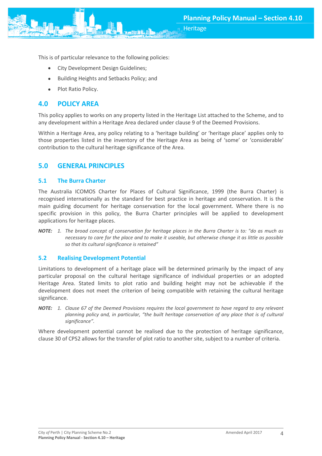**Heritage** 



- City Development Design Guidelines;
- Building Heights and Setbacks Policy; and
- Plot Ratio Policy.

#### <span id="page-4-0"></span>**4.0 POLICY AREA**

This policy applies to works on any property listed in the Heritage List attached to the Scheme, and to any development within a Heritage Area declared under clause 9 of the Deemed Provisions.

Within a Heritage Area, any policy relating to a 'heritage building' or 'heritage place' applies only to those properties listed in the inventory of the Heritage Area as being of 'some' or 'considerable' contribution to the cultural heritage significance of the Area.

## <span id="page-4-1"></span>**5.0 GENERAL PRINCIPLES**

#### <span id="page-4-2"></span>**5.1 The Burra Charter**

The Australia ICOMOS Charter for Places of Cultural Significance, 1999 (the Burra Charter) is recognised internationally as the standard for best practice in heritage and conservation. It is the main guiding document for heritage conservation for the local government. Where there is no specific provision in this policy, the Burra Charter principles will be applied to development applications for heritage places.

*NOTE: 1. The broad concept of conservation for heritage places in the Burra Charter is to: "do as much as necessary to care for the place and to make it useable, but otherwise change it as little as possible so that its cultural significance is retained"*

#### <span id="page-4-3"></span>**5.2 Realising Development Potential**

Limitations to development of a heritage place will be determined primarily by the impact of any particular proposal on the cultural heritage significance of individual properties or an adopted Heritage Area. Stated limits to plot ratio and building height may not be achievable if the development does not meet the criterion of being compatible with retaining the cultural heritage significance.

*NOTE: 1. Clause 67 of the Deemed Provisions requires the local government to have regard to any relevant planning policy and, in particular, "the built heritage conservation of any place that is of cultural significance".*

Where development potential cannot be realised due to the protection of heritage significance, clause 30 of CPS2 allows for the transfer of plot ratio to another site, subject to a number of criteria.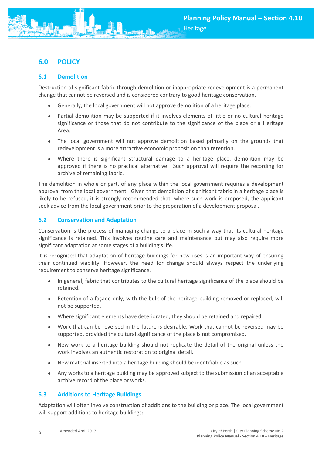<span id="page-5-0"></span>

#### <span id="page-5-1"></span>**6.1 Demolition**

Destruction of significant fabric through demolition or inappropriate redevelopment is a permanent change that cannot be reversed and is considered contrary to good heritage conservation.

- Generally, the local government will not approve demolition of a heritage place.
- Partial demolition may be supported if it involves elements of little or no cultural heritage significance or those that do not contribute to the significance of the place or a Heritage Area.
- The local government will not approve demolition based primarily on the grounds that redevelopment is a more attractive economic proposition than retention.
- Where there is significant structural damage to a heritage place, demolition may be approved if there is no practical alternative. Such approval will require the recording for archive of remaining fabric.

The demolition in whole or part, of any place within the local government requires a development approval from the local government. Given that demolition of significant fabric in a heritage place is likely to be refused, it is strongly recommended that, where such work is proposed, the applicant seek advice from the local government prior to the preparation of a development proposal.

## <span id="page-5-2"></span>**6.2 Conservation and Adaptation**

Conservation is the process of managing change to a place in such a way that its cultural heritage significance is retained. This involves routine care and maintenance but may also require more significant adaptation at some stages of a building's life.

It is recognised that adaptation of heritage buildings for new uses is an important way of ensuring their continued viability. However, the need for change should always respect the underlying requirement to conserve heritage significance.

- In general, fabric that contributes to the cultural heritage significance of the place should be retained.
- Retention of a façade only, with the bulk of the heritage building removed or replaced, will not be supported.
- Where significant elements have deteriorated, they should be retained and repaired.
- Work that can be reversed in the future is desirable. Work that cannot be reversed may be supported, provided the cultural significance of the place is not compromised.
- New work to a heritage building should not replicate the detail of the original unless the work involves an authentic restoration to original detail.
- New material inserted into a heritage building should be identifiable as such.
- Any works to a heritage building may be approved subject to the submission of an acceptable archive record of the place or works.

#### <span id="page-5-3"></span>**6.3 Additions to Heritage Buildings**

Adaptation will often involve construction of additions to the building or place. The local government will support additions to heritage buildings: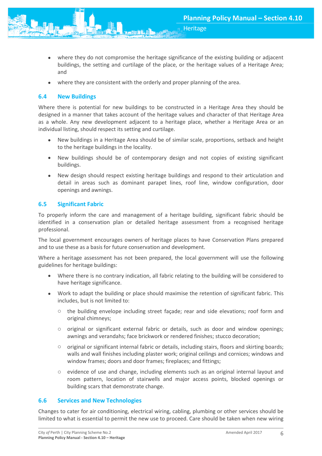where they do not compromise the heritage significance of the existing building or adjacent buildings, the setting and curtilage of the place, or the heritage values of a Heritage Area; and

**Heritage** 

where they are consistent with the orderly and proper planning of the area.

#### <span id="page-6-0"></span>**6.4 New Buildings**

Where there is potential for new buildings to be constructed in a Heritage Area they should be designed in a manner that takes account of the heritage values and character of that Heritage Area as a whole. Any new development adjacent to a heritage place, whether a Heritage Area or an individual listing, should respect its setting and curtilage.

- New buildings in a Heritage Area should be of similar scale, proportions, setback and height to the heritage buildings in the locality.
- New buildings should be of contemporary design and not copies of existing significant buildings.
- New design should respect existing heritage buildings and respond to their articulation and detail in areas such as dominant parapet lines, roof line, window configuration, door openings and awnings.

#### <span id="page-6-1"></span>**6.5 Significant Fabric**

To properly inform the care and management of a heritage building, significant fabric should be identified in a conservation plan or detailed heritage assessment from a recognised heritage professional.

The local government encourages owners of heritage places to have Conservation Plans prepared and to use these as a basis for future conservation and development.

Where a heritage assessment has not been prepared, the local government will use the following guidelines for heritage buildings:

- Where there is no contrary indication, all fabric relating to the building will be considered to have heritage significance.
- Work to adapt the building or place should maximise the retention of significant fabric. This includes, but is not limited to:
	- $\circ$  the building envelope including street façade; rear and side elevations; roof form and original chimneys;
	- $\circ$  original or significant external fabric or details, such as door and window openings; awnings and verandahs; face brickwork or rendered finishes; stucco decoration;
	- $\circ$  original or significant internal fabric or details, including stairs, floors and skirting boards; walls and wall finishes including plaster work; original ceilings and cornices; windows and window frames; doors and door frames; fireplaces; and fittings;
	- o evidence of use and change, including elements such as an original internal layout and room pattern, location of stairwells and major access points, blocked openings or building scars that demonstrate change.

#### <span id="page-6-2"></span>**6.6 Services and New Technologies**

Changes to cater for air conditioning, electrical wiring, cabling, plumbing or other services should be limited to what is essential to permit the new use to proceed. Care should be taken when new wiring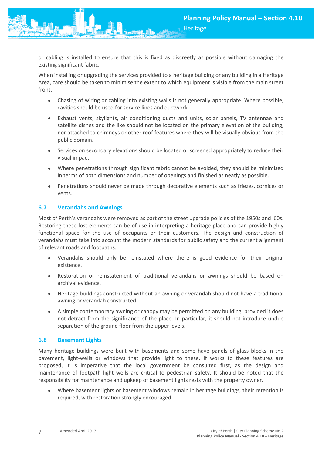or cabling is installed to ensure that this is fixed as discreetly as possible without damaging the existing significant fabric.

**Heritage** 

When installing or upgrading the services provided to a heritage building or any building in a Heritage Area, care should be taken to minimise the extent to which equipment is visible from the main street front.

- Chasing of wiring or cabling into existing walls is not generally appropriate. Where possible, cavities should be used for service lines and ductwork.
- Exhaust vents, skylights, air conditioning ducts and units, solar panels, TV antennae and satellite dishes and the like should not be located on the primary elevation of the building, nor attached to chimneys or other roof features where they will be visually obvious from the public domain.
- Services on secondary elevations should be located or screened appropriately to reduce their visual impact.
- Where penetrations through significant fabric cannot be avoided, they should be minimised in terms of both dimensions and number of openings and finished as neatly as possible.
- Penetrations should never be made through decorative elements such as friezes, cornices or vents.

#### <span id="page-7-0"></span>**6.7 Verandahs and Awnings**

Most of Perth's verandahs were removed as part of the street upgrade policies of the 1950s and '60s. Restoring these lost elements can be of use in interpreting a heritage place and can provide highly functional space for the use of occupants or their customers. The design and construction of verandahs must take into account the modern standards for public safety and the current alignment of relevant roads and footpaths.

- Verandahs should only be reinstated where there is good evidence for their original existence.
- Restoration or reinstatement of traditional verandahs or awnings should be based on archival evidence.
- Heritage buildings constructed without an awning or verandah should not have a traditional awning or verandah constructed.
- A simple contemporary awning or canopy may be permitted on any building, provided it does not detract from the significance of the place. In particular, it should not introduce undue separation of the ground floor from the upper levels.

#### <span id="page-7-1"></span>**6.8 Basement Lights**

Many heritage buildings were built with basements and some have panels of glass blocks in the pavement, light-wells or windows that provide light to these. If works to these features are proposed, it is imperative that the local government be consulted first, as the design and maintenance of footpath light wells are critical to pedestrian safety. It should be noted that the responsibility for maintenance and upkeep of basement lights rests with the property owner.

 Where basement lights or basement windows remain in heritage buildings, their retention is required, with restoration strongly encouraged.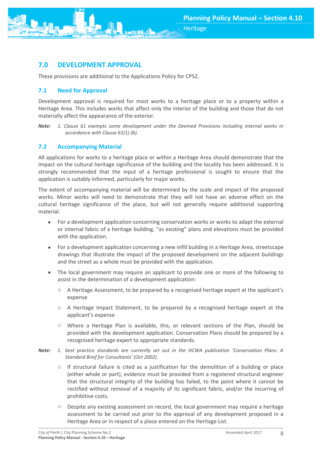

# <span id="page-8-0"></span>**7.0 DEVELOPMENT APPROVAL**

These provisions are additional to the Applications Policy for CPS2.

## <span id="page-8-1"></span>**7.1 Need for Approval**

Development approval is required for most works to a heritage place or to a property within a Heritage Area. This includes works that affect only the interior of the building and those that do not materially affect the appearance of the exterior.

*Note: 1. Clause 61 exempts some development under the Deemed Provisions including internal works in accordance with Clause 61(1) (b).*

## <span id="page-8-2"></span>**7.2 Accompanying Material**

All applications for works to a heritage place or within a Heritage Area should demonstrate that the impact on the cultural heritage significance of the building and the locality has been addressed. It is strongly recommended that the input of a heritage professional is sought to ensure that the application is suitably informed, particularly for major works.

The extent of accompanying material will be determined by the scale and impact of the proposed works. Minor works will need to demonstrate that they will not have an adverse effect on the cultural heritage significance of the place, but will not generally require additional supporting material.

- For a development application concerning conservation works or works to adapt the external or internal fabric of a heritage building, "as existing" plans and elevations must be provided with the application.
- For a development application concerning a new infill building in a Heritage Area, streetscape drawings that illustrate the impact of the proposed development on the adjacent buildings and the street as a whole must be provided with the application.
- The local government may require an applicant to provide one or more of the following to assist in the determination of a development application:
	- o A Heritage Assessment, to be prepared by a recognised heritage expert at the applicant's expense
	- o A Heritage Impact Statement, to be prepared by a recognised heritage expert at the applicant's expense
	- o Where a Heritage Plan is available, this, or relevant sections of the Plan, should be provided with the development application. Conservation Plans should be prepared by a recognised heritage expert to appropriate standards.
- *Note: 1. best practice standards are currently set out in the HCWA publication 'Conservation Plans: A Standard Brief for Consultants' (Oct 2002).* 
	- $\circ$  If structural failure is cited as a justification for the demolition of a building or place (either whole or part), evidence must be provided from a registered structural engineer that the structural integrity of the building has failed, to the point where it cannot be rectified without removal of a majority of its significant fabric, and/or the incurring of prohibitive costs.
	- o Despite any existing assessment on record, the local government may require a heritage assessment to be carried out prior to the approval of any development proposed in a Heritage Area or in respect of a place entered on the Heritage List.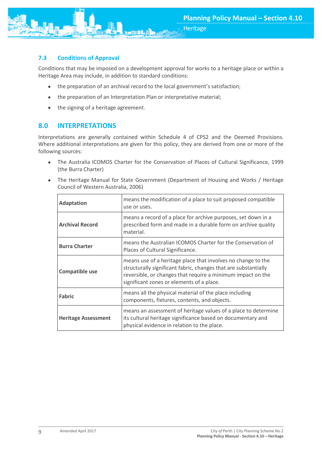

## <span id="page-9-0"></span>**7.3 Conditions of Approval**

Conditions that may be imposed on a development approval for works to a heritage place or within a Heritage Area may include, in addition to standard conditions:

**Heritage** 

- the preparation of an archival record to the local government's satisfaction;
- the preparation of an Interpretation Plan or interpretative material;
- the signing of a heritage agreement.

## <span id="page-9-1"></span>**8.0 INTERPRETATIONS**

Interpretations are generally contained within Schedule 4 of CPS2 and the Deemed Provisions. Where additional interpretations are given for this policy, they are derived from one or more of the following sources:

- The Australia ICOMOS Charter for the Conservation of Places of Cultural Significance, 1999 (the Burra Charter)
- The Heritage Manual for State Government (Department of Housing and Works / Heritage Council of Western Australia, 2006)

| <b>Adaptation</b>          | means the modification of a place to suit proposed compatible<br>use or uses.                                                                                                                                                               |
|----------------------------|---------------------------------------------------------------------------------------------------------------------------------------------------------------------------------------------------------------------------------------------|
| <b>Archival Record</b>     | means a record of a place for archive purposes, set down in a<br>prescribed form and made in a durable form on archive quality<br>material.                                                                                                 |
| <b>Burra Charter</b>       | means the Australian ICOMOS Charter for the Conservation of<br>Places of Cultural Significance.                                                                                                                                             |
| <b>Compatible use</b>      | means use of a heritage place that involves no change to the<br>structurally significant fabric, changes that are substantially<br>reversible, or changes that require a minimum impact on the<br>significant zones or elements of a place. |
| Fabric                     | means all the physical material of the place including<br>components, fixtures, contents, and objects.                                                                                                                                      |
| <b>Heritage Assessment</b> | means an assessment of heritage values of a place to determine<br>its cultural heritage significance based on documentary and<br>physical evidence in relation to the place.                                                                |